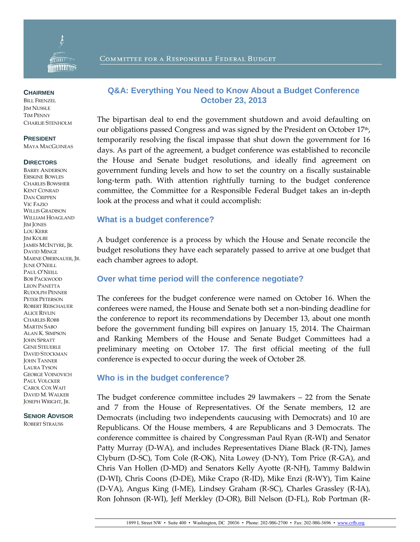

#### **CHAIRMEN**

BILL FRENZEL **JIM NUSSLE** TIM PENNY CHARLIE STENHOLM

#### **PRESIDENT**

MAYA MACGUINEAS

#### **DIRECTORS**

BARRY ANDERSON ERSKINE BOWLES CHARLES BOWSHER KENT CONRAD DAN CRIPPEN VIC FAZIO WILLIS GRADISON WILLIAM HOAGLAND **IM JONES** LOU KERR JIM KOLBE JAMES MCINTYRE, JR. DAVID MINGE MARNE OBERNAUER, JR. JUNE O'NEILL PAUL O'NEILL BOB PACKWOOD LEON PANETTA RUDOLPH PENNER PETER PETERSON ROBERT REISCHAUER ALICE RIVLIN CHARLES ROBB MARTIN SABO ALAN K. SIMPSON JOHN SPRATT GENE STEUERLE DAVID STOCKMAN JOHN TANNER LAURA TYSON GEORGE VOINOVICH PAUL VOLCKER CAROL COX WAIT DAVID M. WALKER JOSEPH WRIGHT, JR.

#### **SENIOR ADVISOR**

ROBERT STRAUSS

# COMMITTEE FOR A RESPONSIBLE FEDERAL BUDGET

## **Q&A: Everything You Need to Know About a Budget Conference October 23, 2013**

The bipartisan deal to end the government shutdown and avoid defaulting on our obligations passed Congress and was signed by the President on October 17 th , temporarily resolving the fiscal impasse that shut down the government for 16 days. As part of the agreement, a budget conference was established to reconcile the House and Senate budget resolutions, and ideally find agreement on government funding levels and how to set the country on a fiscally sustainable long-term path. With attention rightfully turning to the budget conference committee, the Committee for a Responsible Federal Budget takes an in-depth look at the process and what it could accomplish:

#### **What is a budget conference?**

A budget conference is a process by which the House and Senate reconcile the budget resolutions they have each separately passed to arrive at one budget that each chamber agrees to adopt.

### **Over what time period will the conference negotiate?**

The conferees for the budget conference were named on October 16. When the conferees were named, the House and Senate both set a non-binding deadline for the conference to report its recommendations by December 13, about one month before the government funding bill expires on January 15, 2014. The Chairman and Ranking Members of the House and Senate Budget Committees had a preliminary meeting on October 17. The first official meeting of the full conference is expected to occur during the week of October 28.

### **Who is in the budget conference?**

The budget conference committee includes 29 lawmakers – 22 from the Senate and 7 from the House of Representatives. Of the Senate members, 12 are Democrats (including two independents caucusing with Democrats) and 10 are Republicans. Of the House members, 4 are Republicans and 3 Democrats. The conference committee is chaired by Congressman Paul Ryan (R-WI) and Senator Patty Murray (D-WA), and includes Representatives Diane Black (R-TN), James Clyburn (D-SC), Tom Cole (R-OK), Nita Lowey (D-NY), Tom Price (R-GA), and Chris Van Hollen (D-MD) and Senators Kelly Ayotte (R-NH), Tammy Baldwin (D-WI), Chris Coons (D-DE), Mike Crapo (R-ID), Mike Enzi (R-WY), Tim Kaine (D-VA), Angus King (I-ME), Lindsey Graham (R-SC), Charles Grassley (R-IA), Ron Johnson (R-WI), Jeff Merkley (D-OR), Bill Nelson (D-FL), Rob Portman (R-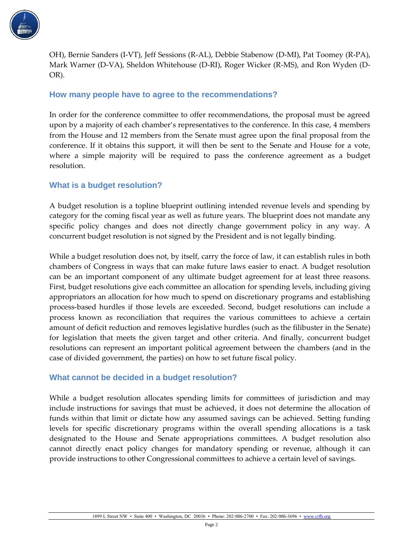

OH), Bernie Sanders (I-VT), Jeff Sessions (R-AL), Debbie Stabenow (D-MI), Pat Toomey (R-PA), Mark Warner (D-VA), Sheldon Whitehouse (D-RI), Roger Wicker (R-MS), and Ron Wyden (D-OR).

## **How many people have to agree to the recommendations?**

In order for the conference committee to offer recommendations, the proposal must be agreed upon by a majority of each chamber's representatives to the conference. In this case, 4 members from the House and 12 members from the Senate must agree upon the final proposal from the conference. If it obtains this support, it will then be sent to the Senate and House for a vote, where a simple majority will be required to pass the conference agreement as a budget resolution.

## **What is a budget resolution?**

A budget resolution is a topline blueprint outlining intended revenue levels and spending by category for the coming fiscal year as well as future years. The blueprint does not mandate any specific policy changes and does not directly change government policy in any way. A concurrent budget resolution is not signed by the President and is not legally binding.

While a budget resolution does not, by itself, carry the force of law, it can establish rules in both chambers of Congress in ways that can make future laws easier to enact. A budget resolution can be an important component of any ultimate budget agreement for at least three reasons. First, budget resolutions give each committee an allocation for spending levels, including giving appropriators an allocation for how much to spend on discretionary programs and establishing process-based hurdles if those levels are exceeded. Second, budget resolutions can include a process known as reconciliation that requires the various committees to achieve a certain amount of deficit reduction and removes legislative hurdles (such as the filibuster in the Senate) for legislation that meets the given target and other criteria. And finally, concurrent budget resolutions can represent an important political agreement between the chambers (and in the case of divided government, the parties) on how to set future fiscal policy.

## **What cannot be decided in a budget resolution?**

While a budget resolution allocates spending limits for committees of jurisdiction and may include instructions for savings that must be achieved, it does not determine the allocation of funds within that limit or dictate how any assumed savings can be achieved. Setting funding levels for specific discretionary programs within the overall spending allocations is a task designated to the House and Senate appropriations committees. A budget resolution also cannot directly enact policy changes for mandatory spending or revenue, although it can provide instructions to other Congressional committees to achieve a certain level of savings.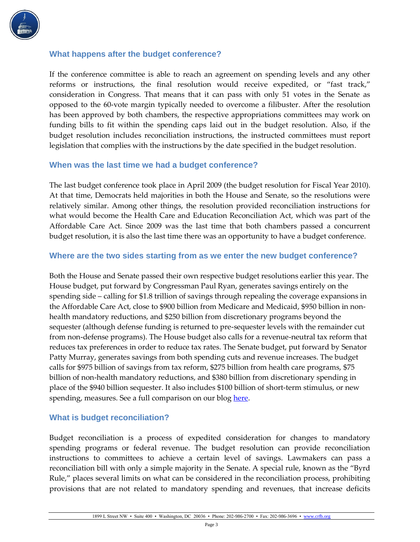

## **What happens after the budget conference?**

If the conference committee is able to reach an agreement on spending levels and any other reforms or instructions, the final resolution would receive expedited, or "fast track," consideration in Congress. That means that it can pass with only 51 votes in the Senate as opposed to the 60-vote margin typically needed to overcome a filibuster. After the resolution has been approved by both chambers, the respective appropriations committees may work on funding bills to fit within the spending caps laid out in the budget resolution. Also, if the budget resolution includes reconciliation instructions, the instructed committees must report legislation that complies with the instructions by the date specified in the budget resolution.

## **When was the last time we had a budget conference?**

The last budget conference took place in April 2009 (the budget resolution for Fiscal Year 2010). At that time, Democrats held majorities in both the House and Senate, so the resolutions were relatively similar. Among other things, the resolution provided reconciliation instructions for what would become the Health Care and Education Reconciliation Act, which was part of the Affordable Care Act. Since 2009 was the last time that both chambers passed a concurrent budget resolution, it is also the last time there was an opportunity to have a budget conference.

## **Where are the two sides starting from as we enter the new budget conference?**

Both the House and Senate passed their own respective budget resolutions earlier this year. The House budget, put forward by Congressman Paul Ryan, generates savings entirely on the spending side – calling for \$1.8 trillion of savings through repealing the coverage expansions in the Affordable Care Act, close to \$900 billion from Medicare and Medicaid, \$950 billion in nonhealth mandatory reductions, and \$250 billion from discretionary programs beyond the sequester (although defense funding is returned to pre-sequester levels with the remainder cut from non-defense programs). The House budget also calls for a revenue-neutral tax reform that reduces tax preferences in order to reduce tax rates. The Senate budget, put forward by Senator Patty Murray, generates savings from both spending cuts and revenue increases. The budget calls for \$975 billion of savings from tax reform, \$275 billion from health care programs, \$75 billion of non-health mandatory reductions, and \$380 billion from discretionary spending in place of the \$940 billion sequester. It also includes \$100 billion of short-term stimulus, or new spending, measures. See a full comparison on our blog [here.](http://crfb.org/blogs/ryan-and-murray-plans-side-side)

### **What is budget reconciliation?**

Budget reconciliation is a process of expedited consideration for changes to mandatory spending programs or federal revenue. The budget resolution can provide reconciliation instructions to committees to achieve a certain level of savings. Lawmakers can pass a reconciliation bill with only a simple majority in the Senate. A special rule, known as the "Byrd Rule," places several limits on what can be considered in the reconciliation process, prohibiting provisions that are not related to mandatory spending and revenues, that increase deficits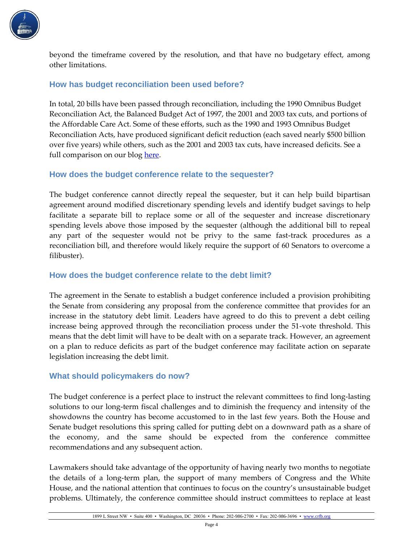

beyond the timeframe covered by the resolution, and that have no budgetary effect, among other limitations.

## **How has budget reconciliation been used before?**

In total, 20 bills have been passed through reconciliation, including the 1990 Omnibus Budget Reconciliation Act, the Balanced Budget Act of 1997, the 2001 and 2003 tax cuts, and portions of the Affordable Care Act. Some of these efforts, such as the 1990 and 1993 Omnibus Budget Reconciliation Acts, have produced significant deficit reduction (each saved nearly \$500 billion over five years) while others, such as the 2001 and 2003 tax cuts, have increased deficits. See a full comparison on our blog [here.](http://crfb.org/blogs/past-uses-reconciliation)

## **How does the budget conference relate to the sequester?**

The budget conference cannot directly repeal the sequester, but it can help build bipartisan agreement around modified discretionary spending levels and identify budget savings to help facilitate a separate bill to replace some or all of the sequester and increase discretionary spending levels above those imposed by the sequester (although the additional bill to repeal any part of the sequester would not be privy to the same fast-track procedures as a reconciliation bill, and therefore would likely require the support of 60 Senators to overcome a filibuster).

## **How does the budget conference relate to the debt limit?**

The agreement in the Senate to establish a budget conference included a provision prohibiting the Senate from considering any proposal from the conference committee that provides for an increase in the statutory debt limit. Leaders have agreed to do this to prevent a debt ceiling increase being approved through the reconciliation process under the 51-vote threshold. This means that the debt limit will have to be dealt with on a separate track. However, an agreement on a plan to reduce deficits as part of the budget conference may facilitate action on separate legislation increasing the debt limit.

## **What should policymakers do now?**

The budget conference is a perfect place to instruct the relevant committees to find long-lasting solutions to our long-term fiscal challenges and to diminish the frequency and intensity of the showdowns the country has become accustomed to in the last few years. Both the House and Senate budget resolutions this spring called for putting debt on a downward path as a share of the economy, and the same should be expected from the conference committee recommendations and any subsequent action.

Lawmakers should take advantage of the opportunity of having nearly two months to negotiate the details of a long-term plan, the support of many members of Congress and the White House, and the national attention that continues to focus on the country's unsustainable budget problems. Ultimately, the conference committee should instruct committees to replace at least